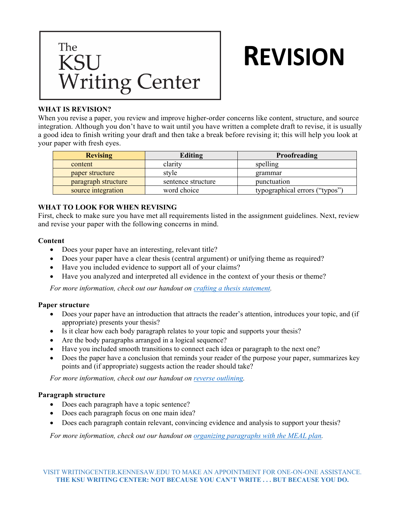

# **REVISION**

## **WHAT IS REVISION?**

When you revise a paper, you review and improve higher-order concerns like content, structure, and source integration. Although you don't have to wait until you have written a complete draft to revise, it is usually a good idea to finish writing your draft and then take a break before revising it; this will help you look at your paper with fresh eyes.

| <b>Revising</b>     | Editing            | Proofreading                   |
|---------------------|--------------------|--------------------------------|
| content             | clarity            | spelling                       |
| paper structure     | style              | grammar                        |
| paragraph structure | sentence structure | punctuation                    |
| source integration  | word choice        | typographical errors ("typos") |

## **WHAT TO LOOK FOR WHEN REVISING**

First, check to make sure you have met all requirements listed in the assignment guidelines. Next, review and revise your paper with the following concerns in mind.

### **Content**

- Does your paper have an interesting, relevant title?
- Does your paper have a clear thesis (central argument) or unifying theme as required?
- Have you included evidence to support all of your claims?
- Have you analyzed and interpreted all evidence in the context of your thesis or theme?

*For more information, check out our handout on [crafting a thesis statement.](https://writingcenter.kennesaw.edu/resources/THESIS_STATEMENT%20accessible.pdf)*

### **Paper structure**

- Does your paper have an introduction that attracts the reader's attention, introduces your topic, and (if appropriate) presents your thesis?
- Is it clear how each body paragraph relates to your topic and supports your thesis?
- Are the body paragraphs arranged in a logical sequence?
- Have you included smooth transitions to connect each idea or paragraph to the next one?
- Does the paper have a conclusion that reminds your reader of the purpose your paper, summarizes key points and (if appropriate) suggests action the reader should take?

*For more information, check out our handout on [reverse outlining.](https://writingcenter.kennesaw.edu/resources/REVERSE_OUTLINING%20Accessible.pdf)* 

## **Paragraph structure**

- Does each paragraph have a topic sentence?
- Does each paragraph focus on one main idea?
- Does each paragraph contain relevant, convincing evidence and analysis to support your thesis?

*For more information, check out our handout on [organizing paragraphs](https://writingcenter.kennesaw.edu/resources/handouts_print/MEAL_PLAN%20Accessible.pdf) with the MEAL plan.*